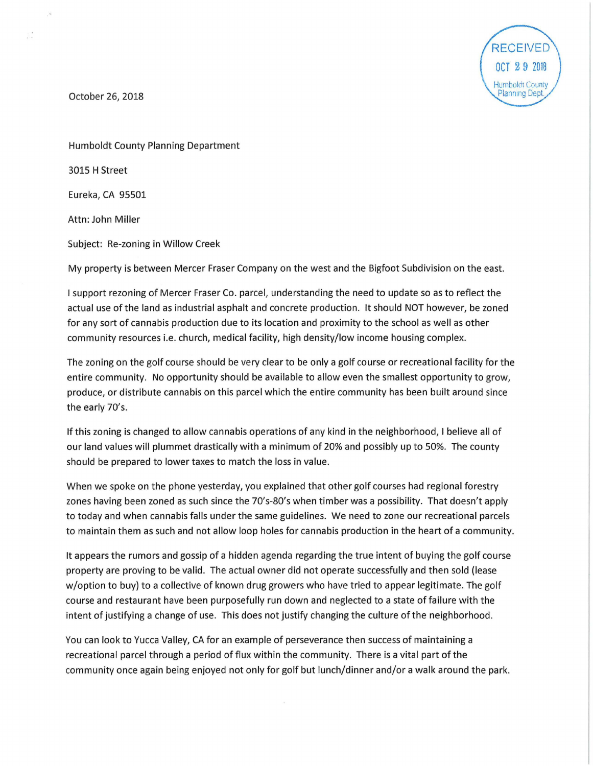

October 26, 2018

 $\frac{1}{1-x}$ 

Humboldt County Planning Department 3015 H Street Eureka, CA 95501 Attn: John Miller Subject: Re-zoning in Willow Creek

My property is between Mercer Fraser Company on the west and the Bigfoot Subdivision on the east.

I support rezoning of Mercer Fraser Co. parcel, understanding the need to update so as to reflect the actual use of the land as industrial asphalt and concrete production. It should NOT however, be zoned for any sort of cannabis production due to its location and proximity to the school as well as other community resources i.e. church, medical facility, high density/low income housing complex.

The zoning on the golf course should be very clear to be only a golf course or recreational facility for the entire community. No opportunity should be available to allow even the smallest opportunity to grow, produce, or distribute cannabis on this parcel which the entire community has been built around since the early 70's.

If this zoning is changed to allow cannabis operations of any kind in the neighborhood, I believe all of our land values will plummet drastically with a minimum of 20% and possibly up to 50%. The county should be prepared to lower taxes to match the loss in value.

When we spoke on the phone yesterday, you explained that other golf courses had regional forestry zones having been zoned as such since the 70's-80's when timber was a possibility. That doesn't apply to today and when cannabis falls under the same guidelines. We need to zone our recreational parcels to maintain them as such and not allow loop holes for cannabis production in the heart of a community.

It appears the rumors and gossip of a hidden agenda regarding the true intent of buying the golf course property are proving to be valid. The actual owner did not operate successfully and then sold (lease w/option to buy) to a collective of known drug growers who have tried to appear legitimate. The golf course and restaurant have been purposefully run down and neglected to a state of failure with the intent of justifying a change of use. This does not justify changing the culture of the neighborhood.

You can look to Yucca Valley, CA for an example of perseverance then success of maintaining a recreational parcel through a period of flux within the community. There is a vital part of the community once again being enjoyed not only for golf but lunch/dinner and/or a walk around the park.